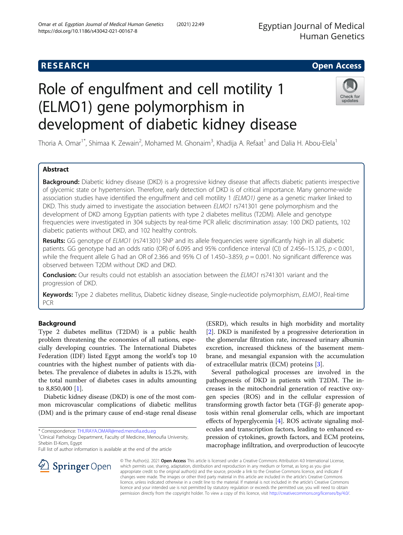# **RESEARCH CHE Open Access** Role of engulfment and cell motility 1 (ELMO1) gene polymorphism in

development of diabetic kidney disease

Thoria A. Omar<sup>1\*</sup>, Shimaa K. Zewain<sup>2</sup>, Mohamed M. Ghonaim<sup>3</sup>, Khadija A. Refaat<sup>1</sup> and Dalia H. Abou-Elela<sup>1</sup>

# Abstract

Background: Diabetic kidney disease (DKD) is a progressive kidney disease that affects diabetic patients irrespective of glycemic state or hypertension. Therefore, early detection of DKD is of critical importance. Many genome-wide association studies have identified the engulfment and cell motility 1 (ELMO1) gene as a genetic marker linked to DKD. This study aimed to investigate the association between ELMO1 rs741301 gene polymorphism and the development of DKD among Egyptian patients with type 2 diabetes mellitus (T2DM). Allele and genotype frequencies were investigated in 304 subjects by real-time PCR allelic discrimination assay: 100 DKD patients, 102 diabetic patients without DKD, and 102 healthy controls.

Results: GG genotype of ELMO1 (rs741301) SNP and its allele frequencies were significantly high in all diabetic patients. GG genotype had an odds ratio (OR) of 6.095 and 95% confidence interval (CI) of 2.456–15.125,  $p < 0.001$ , while the frequent allele G had an OR of 2.366 and 95% CI of 1.450–3.859,  $p = 0.001$ . No significant difference was observed between T2DM without DKD and DKD.

**Conclusion:** Our results could not establish an association between the ELMO1 rs741301 variant and the progression of DKD.

Keywords: Type 2 diabetes mellitus, Diabetic kidney disease, Single-nucleotide polymorphism, ELMO1, Real-time PCR

# Background

Type 2 diabetes mellitus (T2DM) is a public health problem threatening the economies of all nations, especially developing countries. The International Diabetes Federation (IDF) listed Egypt among the world's top 10 countries with the highest number of patients with diabetes. The prevalence of diabetes in adults is 15.2%, with the total number of diabetes cases in adults amounting to 8,850,400 [[1\]](#page-8-0).

Diabetic kidney disease (DKD) is one of the most common microvascular complications of diabetic mellitus (DM) and is the primary cause of end-stage renal disease

\* Correspondence: [THURAYA.OMAR@med.menofia.edu.eg](mailto:THURAYA.OMAR@med.menofia.edu.eg) <sup>1</sup>

SpringerOpen

<sup>1</sup> Clinical Pathology Department, Faculty of Medicine, Menoufia University, Shebin El-Kom, Egypt

Full list of author information is available at the end of the article

(ESRD), which results in high morbidity and mortality [[2\]](#page-8-0). DKD is manifested by a progressive deterioration in the glomerular filtration rate, increased urinary albumin excretion, increased thickness of the basement membrane, and mesangial expansion with the accumulation of extracellular matrix (ECM) proteins [[3\]](#page-8-0).

Several pathological processes are involved in the pathogenesis of DKD in patients with T2DM. The increases in the mitochondrial generation of reactive oxygen species (ROS) and in the cellular expression of transforming growth factor beta (TGF-β) generate apoptosis within renal glomerular cells, which are important effects of hyperglycemia [\[4\]](#page-8-0). ROS activate signaling molecules and transcription factors, leading to enhanced expression of cytokines, growth factors, and ECM proteins, macrophage infiltration, and overproduction of leucocyte

© The Author(s). 2021 Open Access This article is licensed under a Creative Commons Attribution 4.0 International License, which permits use, sharing, adaptation, distribution and reproduction in any medium or format, as long as you give appropriate credit to the original author(s) and the source, provide a link to the Creative Commons licence, and indicate if changes were made. The images or other third party material in this article are included in the article's Creative Commons licence, unless indicated otherwise in a credit line to the material. If material is not included in the article's Creative Commons licence and your intended use is not permitted by statutory regulation or exceeds the permitted use, you will need to obtain permission directly from the copyright holder. To view a copy of this licence, visit <http://creativecommons.org/licenses/by/4.0/>.





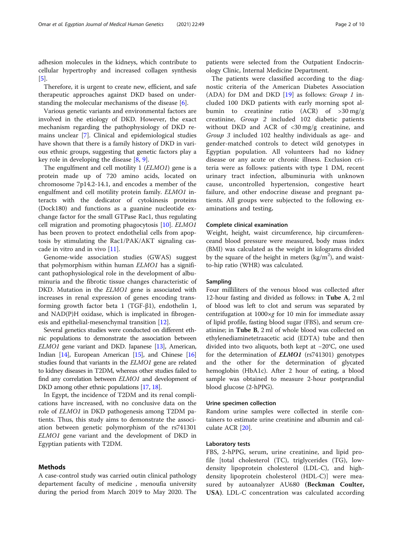adhesion molecules in the kidneys, which contribute to cellular hypertrophy and increased collagen synthesis [[5\]](#page-8-0).

Therefore, it is urgent to create new, efficient, and safe therapeutic approaches against DKD based on understanding the molecular mechanisms of the disease [\[6](#page-8-0)].

Various genetic variants and environmental factors are involved in the etiology of DKD. However, the exact mechanism regarding the pathophysiology of DKD remains unclear [[7\]](#page-8-0). Clinical and epidemiological studies have shown that there is a family history of DKD in various ethnic groups, suggesting that genetic factors play a key role in developing the disease  $[8, 9]$  $[8, 9]$  $[8, 9]$  $[8, 9]$ .

The engulfment and cell motility 1 (ELMO1) gene is a protein made up of 720 amino acids, located on chromosome 7p14.2-14.1, and encodes a member of the engulfment and cell motility protein family. ELMO1 interacts with the dedicator of cytokinesis proteins (Dock180) and functions as a guanine nucleotide exchange factor for the small GTPase Rac1, thus regulating cell migration and promoting phagocytosis [\[10](#page-8-0)]. ELMO1 has been proven to protect endothelial cells from apoptosis by stimulating the Rac1/PAK/AKT signaling cascade in vitro and in vivo [[11](#page-8-0)].

Genome-wide association studies (GWAS) suggest that polymorphism within human ELMO1 has a significant pathophysiological role in the development of albuminuria and the fibrotic tissue changes characteristic of DKD. Mutation in the *ELMO1* gene is associated with increases in renal expression of genes encoding transforming growth factor beta 1 (TGF-β1), endothelin 1, and NAD(P)H oxidase, which is implicated in fibrogenesis and epithelial-mesenchymal transition [[12](#page-8-0)].

Several genetics studies were conducted on different ethnic populations to demonstrate the association between ELMO1 gene variant and DKD. Japanese [\[13\]](#page-8-0), American, Indian [\[14](#page-8-0)], European American [\[15\]](#page-8-0), and Chinese [\[16](#page-8-0)] studies found that variants in the ELMO1 gene are related to kidney diseases in T2DM, whereas other studies failed to find any correlation between ELMO1 and development of DKD among other ethnic populations [[17](#page-8-0), [18](#page-8-0)].

In Egypt, the incidence of T2DM and its renal complications have increased, with no conclusive data on the role of ELMO1 in DKD pathogenesis among T2DM patients. Thus, this study aims to demonstrate the association between genetic polymorphism of the rs741301 ELMO1 gene variant and the development of DKD in Egyptian patients with T2DM.

### Methods

A case-control study was carried outin clinical pathology departement faculty of medicine , menoufia university during the period from March 2019 to May 2020. The

patients were selected from the Outpatient Endocrinology Clinic, Internal Medicine Department.

The patients were classified according to the diagnostic criteria of the American Diabetes Association (ADA) for DM and DKD  $[19]$  $[19]$  as follows: Group 1 included 100 DKD patients with early morning spot albumin to creatinine ratio (ACR) of >30 mg/g creatinine, Group 2 included 102 diabetic patients without DKD and ACR of <30 mg/g creatinine, and Group 3 included 102 healthy individuals as age- and gender-matched controls to detect wild genotypes in Egyptian population. All volunteers had no kidney disease or any acute or chronic illness. Exclusion criteria were as follows: patients with type 1 DM, recent urinary tract infection, albuminuria with unknown cause, uncontrolled hypertension, congestive heart failure, and other endocrine disease and pregnant patients. All groups were subjected to the following examinations and testing.

#### Complete clinical examination

Weight, height, waist circumference, hip circumferenceand blood pressure were measured, body mass index (BMI) was calculated as the weight in kilograms divided by the square of the height in meters  $(kg/m^2)$ , and waistto-hip ratio (WHR) was calculated.

#### Sampling

Four milliliters of the venous blood was collected after 12-hour fasting and divided as follows: in Tube A, 2 ml of blood was left to clot and serum was separated by centrifugation at  $1000 \times g$  for 10 min for immediate assay of lipid profile, fasting blood sugar (FBS), and serum creatinine; in Tube B, 2 ml of whole blood was collected on ethylenediaminetetraacetic acid (EDTA) tube and then divided into two aliquots, both kept at −20°C, one used for the determination of **ELMO1** (rs741301) genotypes and the other for the determination of glycated hemoglobin (HbA1c). After 2 hour of eating, a blood sample was obtained to measure 2-hour postprandial blood glucose (2-hPPG).

#### Urine specimen collection

Random urine samples were collected in sterile containers to estimate urine creatinine and albumin and calculate ACR [[20](#page-8-0)].

#### Laboratory tests

FBS, 2-hPPG, serum, urine creatinine, and lipid profile [total cholesterol (TC), triglycerides (TG), lowdensity lipoprotein cholesterol (LDL-C), and highdensity lipoprotein cholesterol (HDL-C)] were measured by autoanalyzer AU680 (Beckman Coulter, USA). LDL-C concentration was calculated according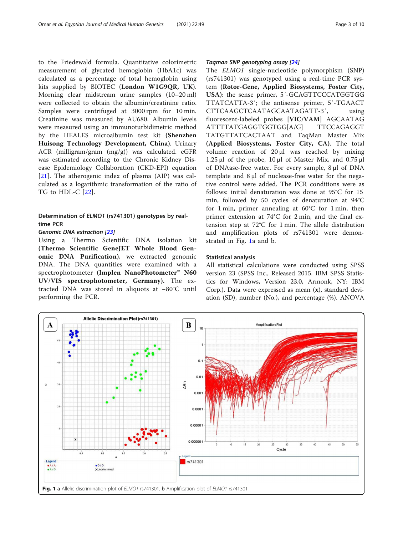to the Friedewald formula. Quantitative colorimetric measurement of glycated hemoglobin (HbA1c) was calculated as a percentage of total hemoglobin using kits supplied by BIOTEC (London W1G9QR, UK). Morning clear midstream urine samples (10–20 ml) were collected to obtain the albumin/creatinine ratio. Samples were centrifuged at 3000 rpm for 10 min. Creatinine was measured by AU680. Albumin levels were measured using an immunoturbidimetric method by the HEALES microalbumin test kit (Shenzhen Huisong Technology Development, China). Urinary ACR (milligram/gram (mg/g)) was calculated. eGFR was estimated according to the Chronic Kidney Disease Epidemiology Collaboration (CKD-EPI) equation [[21\]](#page-8-0). The atherogenic index of plasma (AIP) was calculated as a logarithmic transformation of the ratio of TG to HDL-C [[22](#page-8-0)].

# Determination of ELMO1 (rs741301) genotypes by realtime PCR

Using a Thermo Scientific DNA isolation kit (Thermo Scientific GeneJET Whole Blood Genomic DNA Purification), we extracted genomic DNA. The DNA quantities were examined with a spectrophotometer (Implen NanoPhotometer™ N60 UV/VIS spectrophotometer, Germany). The extracted DNA was stored in aliquots at −80°C until performing the PCR.

The  $ELMOL$  single-nucleotide polymorphism (SNP) (rs741301) was genotyped using a real-time PCR system (Rotor-Gene, Applied Biosystems, Foster City, USA): the sense primer, 5′-GCAGTTCCCATGGTGG TTATCATTA-3′; the antisense primer, 5′-TGAACT CTTCAAGCTCAATAGCAATAGATT-3′, using fluorescent-labeled probes [VIC/VAM] AGCAATAG ATTTTATGAGGTGGTGG[A/G] TTCCAGAGGT TATGTTATCACTAAT and TaqMan Master Mix (Applied Biosystems, Foster City, CA). The total volume reaction of 20 μl was reached by mixing 1.25 μl of the probe, 10 μl of Master Mix, and  $0.75$  μl of DNAase-free water. For every sample, 8 μl of DNA template and 8 μl of nuclease-free water for the negative control were added. The PCR conditions were as follows: initial denaturation was done at 95°C for 15 min, followed by 50 cycles of denaturation at 94°C for 1 min, primer annealing at 60°C for 1 min, then primer extension at 74°C for 2 min, and the final extension step at 72°C for 1 min. The allele distribution and amplification plots of rs741301 were demonstrated in Fig. 1a and b.

#### Statistical analysis

All statistical calculations were conducted using SPSS version 23 (SPSS Inc., Released 2015. IBM SPSS Statistics for Windows, Version 23.0, Armonk, NY: IBM Corp.). Data were expressed as mean (x), standard deviation (SD), number (No.), and percentage (%). ANOVA

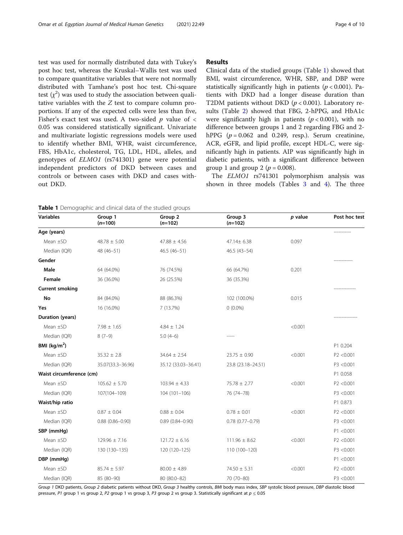test was used for normally distributed data with Tukey's post hoc test, whereas the Kruskal–Wallis test was used to compare quantitative variables that were not normally distributed with Tamhane's post hoc test. Chi-square test  $(\chi^2)$  was used to study the association between qualitative variables with the Z test to compare column proportions. If any of the expected cells were less than five, Fisher's exact test was used. A two-sided  $p$  value of  $\lt$ 0.05 was considered statistically significant. Univariate and multivariate logistic regressions models were used to identify whether BMI, WHR, waist circumference, FBS, HbA1c, cholesterol, TG, LDL, HDL, alleles, and genotypes of ELMO1 (rs741301) gene were potential independent predictors of DKD between cases and controls or between cases with DKD and cases without DKD.

#### Results

Clinical data of the studied groups (Table 1) showed that BMI, waist circumference, WHR, SBP, and DBP were statistically significantly high in patients ( $p < 0.001$ ). Patients with DKD had a longer disease duration than T2DM patients without DKD ( $p < 0.001$ ). Laboratory results (Table [2](#page-4-0)) showed that FBG, 2-hPPG, and HbA1c were significantly high in patients ( $p < 0.001$ ), with no difference between groups 1 and 2 regarding FBG and 2 hPPG  $(p = 0.062$  and 0.249, resp.). Serum creatinine, ACR, eGFR, and lipid profile, except HDL-C, were significantly high in patients. AIP was significantly high in diabetic patients, with a significant difference between group 1 and group 2 ( $p = 0.008$ ).

The ELMO1 rs741301 polymorphism analysis was shown in three models (Tables [3](#page-5-0) and [4](#page-5-0)). The three

Table 1 Demographic and clinical data of the studied groups

| <b>Variables</b>         | Group 1<br>$(n=100)$   | Group 2<br>$(n=102)$            | Group 3<br>$(n=102)$ | p value | Post hoc test |
|--------------------------|------------------------|---------------------------------|----------------------|---------|---------------|
| Age (years)              |                        |                                 |                      |         |               |
| Mean ±SD                 | $48.78 \pm 5.00$       | $47.88 \pm 4.56$<br>47.14± 6.38 |                      | 0.097   |               |
| Median (IQR)             | 48 (46-51)             | 46.5 (46-51)                    | 46.5 (43-54)         |         |               |
| Gender                   |                        |                                 |                      |         |               |
| Male                     | 64 (64.0%)             | 76 (74.5%)                      | 66 (64.7%)           | 0.201   |               |
| Female                   | 36 (36.0%)             | 26 (25.5%)                      | 36 (35.3%)           |         |               |
| <b>Current smoking</b>   |                        |                                 |                      |         |               |
| No                       | 84 (84.0%)             | 88 (86.3%)                      | 102 (100.0%)         | 0.015   |               |
| Yes                      | 16 (16.0%)             | 7 (13.7%)                       | $0(0.0\%)$           |         |               |
| Duration (years)         |                        |                                 |                      |         |               |
| Mean ±SD                 | $7.98 \pm 1.65$        | $4.84 \pm 1.24$                 |                      | < 0.001 |               |
| Median (IQR)             | $8(7-9)$               | $5.0(4-6)$                      |                      |         |               |
| BMI ( $\text{kg/m}^2$ )  |                        |                                 |                      |         | P1 0.204      |
| Mean ±SD                 | $35.32 \pm 2.8$        | $34.64 \pm 2.54$                | $23.75 \pm 0.90$     | < 0.001 | P2 < 0.001    |
| Median (IQR)             | 35.07(33.3-36.96)      | 35.12 (33.03-36.41)             | 23.8 (23.18-24.51)   |         | P3 <0.001     |
| Waist circumference (cm) |                        |                                 |                      |         | P1 0.058      |
| Mean $\pm$ SD            | $105.62 \pm 5.70$      | $103.94 \pm 4.33$               | $75.78 \pm 2.77$     | < 0.001 | P2 < 0.001    |
| Median (IQR)             | 107(104-109)           | 104 (101-106)                   | 76 (74-78)           |         | P3 <0.001     |
| Waist/hip ratio          |                        |                                 |                      |         | P1 0.873      |
| Mean $\pm$ SD            | $0.87 \pm 0.04$        | $0.88 \pm 0.04$                 | $0.78 \pm 0.01$      | < 0.001 | P2 < 0.001    |
| Median (IQR)             | $0.88$ $(0.86 - 0.90)$ | $0.89(0.84 - 0.90)$             | $0.78(0.77 - 0.79)$  |         | P3 <0.001     |
| SBP (mmHq)               |                        |                                 |                      |         | P1 < 0.001    |
| Mean ±SD                 | $129.96 \pm 7.16$      | $121.72 \pm 6.16$               | $111.96 \pm 8.62$    | < 0.001 | P2 < 0.001    |
| Median (IQR)             | 130 (130-135)          | 120 (120-125)                   | 110 (100-120)        |         | P3 <0.001     |
| DBP (mmHg)               |                        |                                 |                      |         | P1 < 0.001    |
| Mean $\pm$ SD            | $85.74 \pm 5.97$       | $80.00 \pm 4.89$                | $74.50 \pm 5.31$     | < 0.001 | P2 < 0.001    |
| Median (IQR)             | 85 (80-90)             | 80 (80.0-82)                    | 70 (70-80)           |         | P3 <0.001     |

Group 1 DKD patients, Group 2 diabetic patients without DKD, Group 3 healthy controls, BMI body mass index, SBP systolic blood pressure, DBP diastolic blood pressure, P1 group 1 vs group 2, P2 group 1 vs group 3, P3 group 2 vs group 3. Statistically significant at  $p \le 0.05$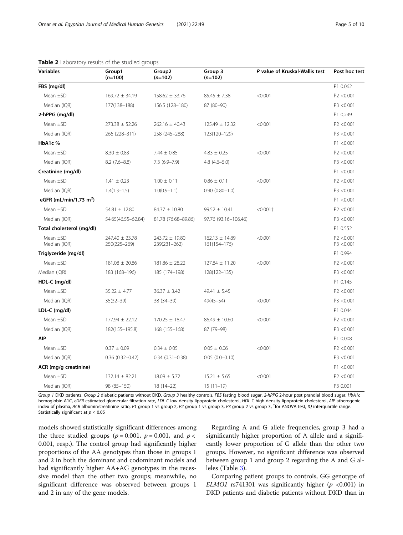| <b>Variables</b>                   | Group1<br>$(n=100)$            | Group <sub>2</sub><br>$(n=102)$ | Group 3<br>$(n=102)$               | P value of Kruskal-Wallis test | Post hoc test           |
|------------------------------------|--------------------------------|---------------------------------|------------------------------------|--------------------------------|-------------------------|
| FBS (mg/dl)                        |                                |                                 |                                    |                                | P1 0.062                |
| Mean $\pm$ SD                      | $169.72 \pm 34.19$             | $158.62 \pm 33.76$              | $85.45 \pm 7.38$                   | < 0.001                        | P2 <0.001               |
| Median (IQR)                       | 177(138-188)                   | 156.5 (128-180)                 | 87 (80-90)                         |                                | P3 <0.001               |
| 2-hPPG (mg/dl)                     |                                |                                 |                                    |                                | P1 0.249                |
| Mean ±SD                           | $273.38 \pm 52.26$             | $262.16 \pm 40.43$              | $125.49 \pm 12.32$                 | < 0.001                        | P2 <0.001               |
| Median (IQR)                       | 266 (228-311)                  | 258 (245-288)                   | 123(120-129)                       |                                | P3 <0.001               |
| HbA1c %                            |                                |                                 |                                    |                                | P1 < 0.001              |
| Mean $\pm$ SD                      | $8.30 \pm 0.83$                | $7.44 \pm 0.85$                 | $4.83 \pm 0.25$                    | < 0.001                        | P2 <0.001               |
| Median (IQR)                       | $8.2(7.6-8.8)$                 | $7.3(6.9 - 7.9)$                | $4.8(4.6-5.0)$                     |                                | P3 <0.001               |
| Creatinine (mg/dl)                 |                                |                                 |                                    |                                | P1 < 0.001              |
| Mean ±SD                           | $1.41 \pm 0.23$                | $1.00 \pm 0.11$                 | $0.86 \pm 0.11$                    | < 0.001                        | P2 <0.001               |
| Median (IQR)                       | $1.4(1.3-1.5)$                 | $1.0(0.9 - 1.1)$                | $0.90(0.80 - 1.0)$                 |                                | P3 <0.001               |
| eGFR (mL/min/1.73 m <sup>2</sup> ) |                                |                                 |                                    |                                | P1 < 0.001              |
| Mean ±SD                           | $54.81 \pm 12.80$              | 84.37 ± 10.80                   | $99.52 \pm 10.41$                  | $< 0.001$ †                    | P2 <0.001               |
| Median (IQR)                       | 54.65(46.55-62.84)             | 81.78 (76.68-89.86)             | 97.76 (93.16-106.46)               |                                | P3 <0.001               |
| Total cholesterol (mg/dl)          |                                |                                 |                                    |                                | P1 0.552                |
| Mean ±SD<br>Median (IQR)           | 247.40 ± 23.78<br>250(225-269) | 243.72 ± 19.80<br>239(231-262)  | $162.13 \pm 14.89$<br>161(154-176) | < 0.001                        | P2 <0.001<br>P3 < 0.001 |
| Triglyceride (mg/dl)               |                                |                                 |                                    |                                | P1 0.994                |
| Mean $\pm$ SD                      | $181.08 \pm 20.86$             | $181.86 \pm 28.22$              | $127.84 \pm 11.20$                 | < 0.001                        | P2 < 0.001              |
| Median (IQR)                       | 183 (168-196)                  | 185 (174-198)                   | 128(122-135)                       |                                | P3 <0.001               |
| HDL-C (mg/dl)                      |                                |                                 |                                    |                                | P1 0.145                |
| Mean $\pm$ SD                      | $35.22 \pm 4.77$               | $36.37 \pm 3.42$                | $49.41 \pm 5.45$                   |                                | P2 <0.001               |
| Median (IQR)                       | $35(32 - 39)$                  | 38 (34-39)                      | $49(45 - 54)$                      | < 0.001                        | P3 <0.001               |
| $LDL-C$ (mg/dl)                    |                                |                                 |                                    |                                | P1 0.044                |
| Mean ±SD                           | $177.94 \pm 22.12$             | $170.25 \pm 18.47$              | $86.49 \pm 10.60$                  | < 0.001                        | P2 <0.001               |
| Median (IQR)                       | 182(155-195.8)                 | 168 (155-168)                   | 87 (79-98)                         |                                | P3 <0.001               |
| <b>AIP</b>                         |                                |                                 |                                    |                                | P1 0.008                |
| Mean $\pm$ SD                      | $0.37 \pm 0.09$                | $0.34 \pm 0.05$                 | $0.05 \pm 0.06$                    | < 0.001                        | P2 < 0.001              |
| Median (IQR)                       | $0.36(0.32 - 0.42)$            | $0.34(0.31 - 0.38)$             | $0.05(0.0 - 0.10)$                 |                                | P3 <0.001               |
| ACR (mg/g creatinine)              |                                |                                 |                                    |                                | P1 < 0.001              |
| Mean ±SD                           | $132.14 \pm 82.21$             | $18.09 \pm 5.72$                | $15.21 \pm 5.65$                   | < 0.001                        | P2 <0.001               |
| Median (IQR)                       | 98 (85-150)                    | 18 (14-22)                      | $15(11-19)$                        |                                | P3 0.001                |

### <span id="page-4-0"></span>Table 2 Laboratory results of the studied groups

Group 1 DKD patients, Group 2 diabetic patients without DKD, Group 3 healthy controls, FBS fasting blood sugar, 2-hPPG 2-hour post prandial blood sugar, HbA1c hemoglobin A1C, eGFR estimated glomerular filtration rate, LDL-C low-density lipoprotein cholesterol, HDL-C high-density lipoprotein cholesterol, AIP atherogenic index of plasma, ACR albumin/creatinine ratio, P1 group 1 vs group 2, P2 group 1 vs group 3, P3 group 2 vs group 3, † for ANOVA test, IQ interquartile range. Statistically significant at  $p \leq 0.05$ 

models showed statistically significant differences among the three studied groups ( $p = 0.001$ ,  $p = 0.001$ , and  $p <$ 0.001, resp.). The control group had significantly higher proportions of the AA genotypes than those in groups 1 and 2 in both the dominant and codominant models and had significantly higher AA+AG genotypes in the recessive model than the other two groups; meanwhile, no significant difference was observed between groups 1 and 2 in any of the gene models.

Regarding A and G allele frequencies, group 3 had a significantly higher proportion of A allele and a significantly lower proportion of G allele than the other two groups. However, no significant difference was observed between group 1 and group 2 regarding the A and G alleles (Table [3](#page-5-0)).

Comparing patient groups to controls, GG genotype of ELMO1 rs741301 was significantly higher ( $p < 0.001$ ) in DKD patients and diabetic patients without DKD than in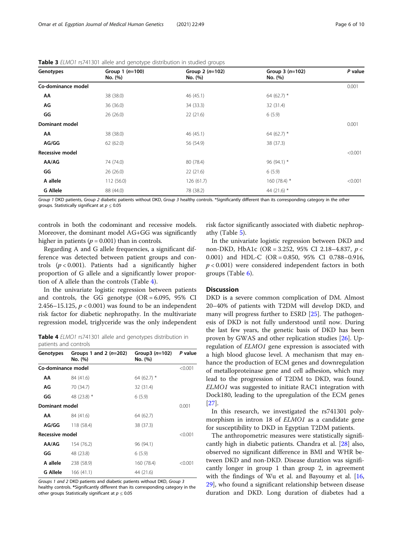| Genotypes             | Group $1(n=100)$<br>No. (%) | Group $2(n=102)$<br>No. (%) | Group $3(n=102)$<br>No. (%) | P value |  |
|-----------------------|-----------------------------|-----------------------------|-----------------------------|---------|--|
| Co-dominance model    |                             |                             |                             | 0.001   |  |
| ΑА                    | 38 (38.0)                   | 46 (45.1)                   | 64 (62.7) $*$               |         |  |
| AG                    | 36 (36.0)                   | 34 (33.3)                   | 32 (31.4)                   |         |  |
| GG                    | 26(26.0)                    | 22(21.6)                    | 6(5.9)                      |         |  |
| <b>Dominant model</b> |                             |                             |                             | 0.001   |  |
| АΑ                    | 38 (38.0)                   | 46 (45.1)                   | 64 (62.7) $*$               |         |  |
| AG/GG                 | 62(62.0)                    | 56 (54.9)                   | 38 (37.3)                   |         |  |
| Recessive model       |                             |                             |                             | < 0.001 |  |
| AA/AG                 | 74 (74.0)                   | 80 (78.4)                   | 96 (94.1) *                 |         |  |
| GG                    | 26(26.0)                    | 22(21.6)                    | 6(5.9)                      |         |  |
| A allele              | 112 (56.0)                  | 126(61.7)                   | 160 $(78.4)$ *              | < 0.001 |  |
| <b>G Allele</b>       | 88 (44.0)                   | 78 (38.2)                   | 44 (21.6) $*$               |         |  |

<span id="page-5-0"></span>Table 3 ELMO1 rs741301 allele and genotype distribution in studied groups

Group 1 DKD patients, Group 2 diabetic patients without DKD, Group 3 healthy controls. \*Significantly different than its corresponding category in the other groups. Statistically significant at  $p < 0.05$ 

controls in both the codominant and recessive models. Moreover, the dominant model AG+GG was significantly higher in patients ( $p = 0.001$ ) than in controls.

risk factor significantly associated with diabetic nephropathy (Table [5\)](#page-6-0).

Regarding A and G allele frequencies, a significant difference was detected between patient groups and controls  $(p < 0.001)$ . Patients had a significantly higher proportion of G allele and a significantly lower proportion of A allele than the controls (Table 4).

In the univariate logistic regression between patients and controls, the GG genotype  $(OR = 6.095, 95\% \text{ CI})$ 2.456–15.125,  $p < 0.001$ ) was found to be an independent risk factor for diabetic nephropathy. In the multivariate regression model, triglyceride was the only independent

Table 4 ELMO1 rs741301 allele and genotypes distribution in patients and controls

| Genotypes          | Groups 1 and 2 $(n=202)$<br>No. (%) | Group3 $(n=102)$<br>No. (%) | P value |  |
|--------------------|-------------------------------------|-----------------------------|---------|--|
| Co-dominance model |                                     |                             | < 0.001 |  |
| АΑ                 | 84 (41.6)                           | 64 (62.7) $*$               |         |  |
| ΑG                 | 70 (34.7)                           | 32 (31.4)                   |         |  |
| GG                 | 48 (23.8) *                         | 6(5.9)                      |         |  |
| Dominant model     |                                     |                             |         |  |
| АΑ                 | 84 (41.6)                           | 64 (62.7)                   |         |  |
| AG/GG              | 118 (58.4)                          | 38 (37.3)                   |         |  |
| Recessive model    |                                     |                             |         |  |
| AA/AG              | 154 (76.2)                          | 96 (94.1)                   |         |  |
| GG                 | 48 (23.8)                           | 6(5.9)                      |         |  |
| A allele           | 238 (58.9)                          | 160 (78.4)                  | < 0.001 |  |
| <b>G</b> Allele    | 166 (41.1)                          | 44 (21.6)                   |         |  |

Groups 1 and 2 DKD patients and diabetic patients without DKD, Group 3 healthy controls. \*Significantly different than its corresponding category in the other groups Statistically significant at  $p \leq 0.05$ 

In the univariate logistic regression between DKD and non-DKD, HbA1c (OR = 3.252, 95% CI 2.18–4.837, p <sup>&</sup>lt; 0.001) and HDL-C (OR = 0.850, 95% CI 0.788–0.916,  $p < 0.001$ ) were considered independent factors in both groups (Table [6\)](#page-6-0).

## Discussion

DKD is a severe common complication of DM. Almost 20–40% of patients with T2DM will develop DKD, and many will progress further to ESRD [\[25](#page-8-0)]. The pathogenesis of DKD is not fully understood until now. During the last few years, the genetic basis of DKD has been proven by GWAS and other replication studies [\[26](#page-8-0)]. Upregulation of ELMO1 gene expression is associated with a high blood glucose level. A mechanism that may enhance the production of ECM genes and downregulation of metalloproteinase gene and cell adhesion, which may lead to the progression of T2DM to DKD, was found. ELMO1 was suggested to initiate RAC1 integration with Dock180, leading to the upregulation of the ECM genes [[27\]](#page-8-0).

In this research, we investigated the rs741301 polymorphism in intron 18 of ELMO1 as a candidate gene for susceptibility to DKD in Egyptian T2DM patients.

The anthropometric measures were statistically significantly high in diabetic patients. Chandra et al. [\[28\]](#page-8-0) also, observed no significant difference in BMI and WHR between DKD and non-DKD. Disease duration was significantly longer in group 1 than group 2, in agreement with the findings of Wu et al. and Bayoumy et al. [[16](#page-8-0), [29\]](#page-8-0), who found a significant relationship between disease duration and DKD. Long duration of diabetes had a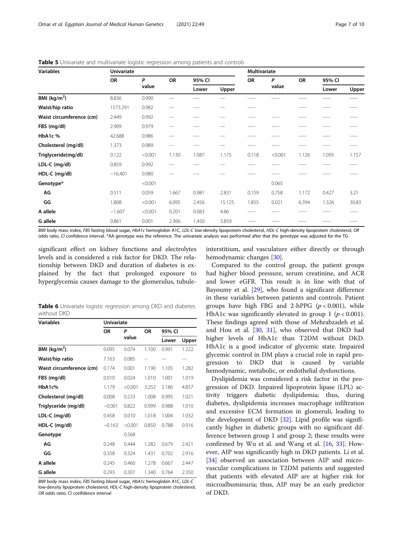| <b>Variables</b>         | <b>Univariate</b> |            |           |        | <b>Multivariate</b> |           |            |           |        |       |
|--------------------------|-------------------|------------|-----------|--------|---------------------|-----------|------------|-----------|--------|-------|
|                          | <b>OR</b>         | P<br>value | <b>OR</b> | 95% CI |                     | <b>OR</b> | P<br>value | <b>OR</b> | 95% CI |       |
|                          |                   |            |           | Lower  | Upper               |           |            |           | Lower  | Upper |
| BMI $(kg/m2)$            | 8.836             | 0.990      | $---$     | ----   | ---                 | -----     |            | -----     | -----  | ----- |
| Waist/hip ratio          | 1573.291          | 0.982      | $---$     | ----   | $---$               | -----     |            | -----     | -----  | ----- |
| Waist circumference (cm) | 2.449             | 0.992      | $---$     | ----   | $---$               | -----     | -----      | ----      |        |       |
| FBS (mg/dl)              | 2.909             | 0.979      | $---$     | ----   | ---                 | -----     | -----      | -----     | -----  | ----- |
| HbA1c %                  | 42.688            | 0.986      | $---$     | ----   | $---$               | -----     | -----      | -----     | -----  | ----- |
| Cholesterol (mg/dl)      | 1.373             | 0.989      | $---$     | ----   | $---$               | -----     | -----      | -----     | -----  | ----- |
| Triglyceride(mg/dl)      | 0.122             | < 0.001    | 1.130     | 1.087  | 1.175               | 0.118     | < 0.001    | 1.126     | 1.095  | 1.157 |
| LDL-C (mg/dl)            | 0.859             | 0.992      | $---$     |        | ---                 |           |            |           |        | ----- |
| HDL-C (mg/dl)            | $-16.401$         | 0.980      | $---$     |        | ---                 | -----     | -----      |           |        |       |
| Genotype*                |                   | < 0.001    |           |        |                     |           | 0.065      |           |        |       |
| AG                       | 0.511             | 0.059      | 1.667     | 0.981  | 2.831               | 0.159     | 0.758      | 1.172     | 0.427  | 3.21  |
| GG                       | 1.808             | < 0.001    | 6.095     | 2.456  | 15.125              | 1.855     | 0.021      | 6.394     | 1.326  | 30.83 |
| A allele                 | $-1.607$          | < 0.001    | 0.201     | 0.083  | 4.86                | -----     | -----      | ----      | -----  | ----- |
| G allele                 | 0.861             | 0.001      | 2.366     | 1.450  | 3.859               |           |            |           |        |       |

<span id="page-6-0"></span>Table 5 Univariate and multivariate logistic regression among patients and controls

BMI body mass index, FBS fasting blood sugar, HbA1c hemoglobin A1C, LDL-C low-density lipoprotein cholesterol, HDL-C high-density lipoprotein cholesterol, OR odds ratio, CI confidence interval. \*AA genotype was the reference. The univariate analysis was performed after that the genotype was adjusted for the TG

significant effect on kidney functions and electrolytes levels and is considered a risk factor for DKD. The relationship between DKD and duration of diabetes is explained by the fact that prolonged exposure to hyperglycemia causes damage to the glomerulus, tubule-

Table 6 Univariate logistic regression among DKD and diabetes without DKD

| <b>Univariate</b> |         |       |        |       |  |  |
|-------------------|---------|-------|--------|-------|--|--|
| OR                | P       | ΟR    | 95% CI |       |  |  |
|                   |         |       | Lower  | Upper |  |  |
| 0.095             | 0.074   | 1.100 | 0.991  | 1.222 |  |  |
| 7.163             | 0.085   |       | ---    | ---   |  |  |
| 0.174             | 0.001   | 1.190 | 1.105  | 1.282 |  |  |
| 0.010             | 0.024   | 1.010 | 1.001  | 1.019 |  |  |
| 1.179             | < 0.001 | 3.252 | 2.186  | 4.837 |  |  |
| 0.008             | 0.233   | 1.008 | 0.995  | 1.021 |  |  |
| $-0.001$          | 0.822   | 0.999 | 0.988  | 1.010 |  |  |
| 0.458             | 0.010   | 1.018 | 1.004  | 1.032 |  |  |
| $-0.163$          | < 0.001 | 0.850 | 0.788  | 0.916 |  |  |
|                   | 0.568   |       |        |       |  |  |
| 0.248             | 0.444   | 1.282 | 0.679  | 2.421 |  |  |
| 0.358             | 0.324   | 1.431 | 0.702  | 2.916 |  |  |
| 0.245             | 0.460   | 1.278 | 0.667  | 2.447 |  |  |
| 0.293             | 0.307   | 1.340 | 0.764  | 2.350 |  |  |
|                   |         | value |        |       |  |  |

BMI body mass index, FBS fasting blood sugar, HbA1c hemoglobin A1C, LDL-C low-density lipoprotein cholesterol, HDL-C high-density lipoprotein cholesterol, OR odds ratio, CI confidence interval

interstitium, and vasculature either directly or through hemodynamic changes [[30\]](#page-8-0).

Compared to the control group, the patient groups had higher blood pressure, serum creatinine, and ACR and lower eGFR. This result is in line with that of Bayoumy et al. [[29\]](#page-8-0), who found a significant difference in these variables between patients and controls. Patient groups have high FBG and 2-hPPG  $(p < 0.001)$ , while HbA1c was significantly elevated in group 1 ( $p < 0.001$ ). These findings agreed with those of Mehrabzadeh et al. and Hou et al. [[30,](#page-8-0) [31\]](#page-8-0), who observed that DKD had higher levels of HbA1c than T2DM without DKD. HbA1c is a good indicator of glycemic state. Impaired glycemic control in DM plays a crucial role in rapid progression to DKD that is caused by variable hemodynamic, metabolic, or endothelial dysfunctions.

Dyslipidemia was considered a risk factor in the progression of DKD. Impaired lipoprotein lipase (LPL) activity triggers diabetic dyslipidemia; thus, during diabetes, dyslipidemia increases macrophage infiltration and excessive ECM formation in glomeruli, leading to the development of DKD [[32](#page-8-0)]. Lipid profile was significantly higher in diabetic groups with no significant difference between group 1 and group 2; these results were confirmed by Wu et al. and Wang et al. [[16,](#page-8-0) [33](#page-9-0)]. However, AIP was significantly high in DKD patients. Li et al. [[34\]](#page-9-0) observed an association between AIP and microvascular complications in T2DM patients and suggested that patients with elevated AIP are at higher risk for microalbuminuria; thus, AIP may be an early predictor of DKD.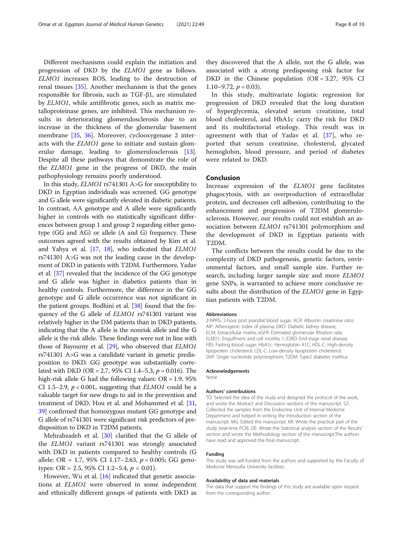Different mechanisms could explain the initiation and progression of DKD by the ELMO1 gene as follows. ELMO1 increases ROS, leading to the destruction of renal tissues [[35](#page-9-0)]. Another mechanism is that the genes responsible for fibrosis, such as TGF-β1, are stimulated by ELMO1, while antifibrotic genes, such as matrix metalloproteinase genes, are inhibited. This mechanism results in deteriorating glomerulosclerosis due to an increase in the thickness of the glomerular basement membrane [\[35](#page-9-0), [36\]](#page-9-0). Moreover, cyclooxygenase 2 interacts with the ELMO1 gene to initiate and sustain glomerular damage, leading to glomerulosclerosis [\[13](#page-8-0)]. Despite all these pathways that demonstrate the role of the ELMO1 gene in the progress of DKD, the main pathophysiology remains poorly understood.

In this study, ELMO1 rs741301 A>G for susceptibility to DKD in Egyptian individuals was screened. GG genotype and G allele were significantly elevated in diabetic patients. In contrast, AA genotype and A allele were significantly higher in controls with no statistically significant differences between group 1 and group 2 regarding either genotype (GG and AG) or allele (A and G) frequency. These outcomes agreed with the results obtained by Kim et al. and Yahya et al.  $[17, 18]$  $[17, 18]$  $[17, 18]$  $[17, 18]$ , who indicated that *ELMO1* rs741301 A>G was not the leading cause in the development of DKD in patients with T2DM. Furthermore, Yadav et al. [\[37](#page-9-0)] revealed that the incidence of the GG genotype and G allele was higher in diabetics patients than in healthy controls. Furthermore, the difference in the GG genotype and G allele occurrence was not significant in the patient groups. Bodhini et al. [[38](#page-9-0)] found that the frequency of the G allele of ELMO1 rs741301 variant was relatively higher in the DM patients than in DKD patients, indicating that the A allele is the nonrisk allele and the G allele is the risk allele. These findings were not in line with those of Bayoumy et al. [\[29\]](#page-8-0), who observed that ELMO1 rs741301 A>G was a candidate variant in genetic predisposition to DKD. GG genotype was substantially correlated with DKD (OR = 2.7, 95% CI 1.4–5.3,  $p = 0.016$ ). The high-risk allele G had the following values: OR = 1.9, 95% CI 1.5–2.9,  $p < 0.001$ , suggesting that *ELMO1* could be a valuable target for new drugs to aid in the prevention and treatment of DKD. Hou et al. and Mohammed et al. [[31](#page-8-0), [39](#page-9-0)] confirmed that homozygous mutant GG genotype and G allele of rs741301 were significant risk predictors of predisposition to DKD in T2DM patients.

Mehrabzadeh et al. [\[30](#page-8-0)] clarified that the G allele of the ELMO1 variant rs741301 was strongly associated with DKD in patients compared to healthy controls (G allele: OR = 1.7, 95% CI 1.17-2.63,  $p = 0.005$ ; GG genotypes: OR = 2.5, 95% CI 1.2–5.4,  $p = 0.01$ ).

However, Wu et al. [[16\]](#page-8-0) indicated that genetic associations at ELMO1 were observed in some independent and ethnically different groups of patients with DKD as they discovered that the A allele, not the G allele, was associated with a strong predisposing risk factor for DKD in the Chinese population  $(OR = 3.27, 95\%$  CI 1.10–9.72,  $p = 0.03$ ).

In this study, multivariate logistic regression for progression of DKD revealed that the long duration of hyperglycemia, elevated serum creatinine, total blood cholesterol, and HbA1c carry the risk for DKD and its multifactorial etiology. This result was in agreement with that of Yadav et al. [[37](#page-9-0)], who reported that serum creatinine, cholesterol, glycated hemoglobin, blood pressure, and period of diabetes were related to DKD.

#### Conclusion

Increase expression of the ELMO1 gene facilitates phagocytosis, with an overproduction of extracellular protein, and decreases cell adhesion, contributing to the enhancement and progression of T2DM glomerulosclerosis. However, our results could not establish an association between ELMO1 rs741301 polymorphism and the development of DKD in Egyptian patients with T2DM.

The conflicts between the results could be due to the complexity of DKD pathogenesis, genetic factors, environmental factors, and small sample size. Further research, including larger sample size and more ELMO1 gene SNPs, is warranted to achieve more conclusive results about the distribution of the ELMO1 gene in Egyptian patients with T2DM.

#### Abbreviations

2-hPPG: 2-hour post prandial blood sugar; ACR: Albumin creatinine ratio; AIP: Atherogenic index of plasma; DKD: Diabetic kidney disease; ECM: Extracellular matrix; eGFR: Estimated glomerular filtration rate; ELMO1: Engulfment and cell motility 1; ESRD: End-stage renal disease; FBS: Fasting blood sugar; HbA1c: Hemoglobin A1C; HDL-C: High-density lipoprotein cholesterol; LDL-C: Low-density lipoprotein cholesterol; SNP: Single nucleotide polymorphism; T2DM: Type2 diabetes mellitus

#### Acknowledgements

None

#### Authors' contributions

TO: Selected the idea of the study and designed the protocol of the work, and wrote the Abstract and Discussion sections of the manuscript. SZ: Collected the samples from the Endocrine Unit of Internal Medicine Department and helped in writing the Introduction section of the manuscript. MG: Edited the manuscript. KR: Wrote the practical part of the study (real-time PCR). DE: Wrote the Statistical analysis section of the Results' section and wrote the Methodology section of the manuscript.The authors have read and approved the final manuscript.

#### Funding

This study was self-funded from the authors and supported by the Faculty of Medicine Menoufia University facilities.

#### Availability of data and materials

The data that support the findings of this study are available upon request from the corresponding author.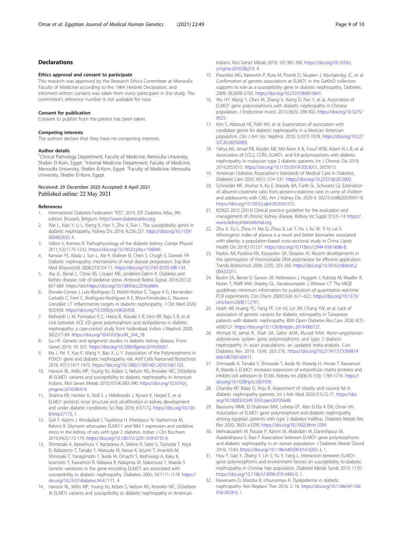### <span id="page-8-0"></span>Declarations

#### Ethics approval and consent to participate

This research was approved by the Research Ethics Committee at Menoufia Faculty of Medicine according to the 1964 Helsinki Declaration, and informed written consent was taken from every participant in the study. The committee's reference number is not available for now.

#### Consent for publication

Consent to publish from the patient has been taken.

# Competing interests

The authors declare that they have no competing interests.

#### Author details

<sup>1</sup>Clinical Pathology Department, Faculty of Medicine, Menoufia University, Shebin El-Kom, Egypt. <sup>2</sup>Internal Medicine Department, Faculty of Medicine, Menoufia University, Shebin El-Kom, Egypt. <sup>3</sup>Faculty of Medicine, Menoufia University, Shebin El-Kom, Egypt.

#### Received: 29 December 2020 Accepted: 8 April 2021 Published online: 22 May 2021

#### References

- 1. International Diabetes Federation "IFD", 2019. IDF Diabetes Atlas, 9th edition. Brussels, Belgium. <http://www.diabetesatles.org>.
- 2. Wei L, Xiao Y, Li L, Xiong X, Han Y, Zhu X, Sun L The susceptibility genes in diabetic nephropathy. Kidney Dis 2018; 4:226-237. [https://doi.org/10.1159/](https://doi.org/10.1159/000492633) [000492633](https://doi.org/10.1159/000492633), 4.
- 3. Vallon V, Komers R. Pathophysiology of the diabetic kidney. Compr Physiol 2011;1(3):1175-1232. [https://doi.org/10.1002/cphy.c100049.](https://doi.org/10.1002/cphy.c100049)
- 4. Kanwar YS, Wada J, Sun L, Xie P, Wallner EI, Chen S, Chugh S, Danesh FR Diabetic nephropathy: mechanisms of renal disease progression. Exp Biol Med (Maywood) 2008;233(1):4-11. <https://doi.org/10.3181/0705-MR-134>.
- 5. Jha JC, Banal C, Chow BS, Cooper ME, Jandeleit-Dahm K. Diabetes and kidney disease: role of oxidative stress. Antioxid Redox Signal. 2016;25(12): 657-684. https://doi:<https://doi.org/10.1089/ars.2016.6664>.
- 6. Donate-Correa J, Luis-Rodríguez D, Martín-Núñez E, Tagua V G, Hernández-Carballo C, Ferri C, Rodríguez-Rodríguez A E, Mora-Fernández C, Navarro-González J F Inflammatory targets in diabetic nephropathy. J Clin Med 2020; 9(2):458. <https://doi.org/10.3390/jcm9020458>.
- 7. Mahwish U M, Ponnaluri K C, Heera B, Alavala S R, Devi KR, Raju S B, et al. Link between ACE I/D gene polymorphism and dyslipidemia in diabetic nephropathy: a case-control study from hyderabad. Indian J Nephrol 2020; 30(2):77-84. [https://doi.org/10.4103/ijn.IJN\\_244\\_18](https://doi.org/10.4103/ijn.IJN_244_18)
- 8. Gu HF. Genetic and epigenetic studies in diabetic kidney disease. Front Genet 2019; 10: 507. <https://doi.org/10.3389/fgene.2019.00507>.
- Ma J, Pei Y, Xue P, Wang Y, Bao X, Li Y. Association of the Polymorphisms in FOXO1 gene and diabetic nephropathy risk. Artif Cells Nanomed Biotechnol 2019; 47(1):1471-1475. [https://doi.org/10.1080/21691401.2019.1601103.](https://doi.org/10.1080/21691401.2019.1601103)
- 10. Hanson RL, Millis MP, Young NJ, Kobes S, Nelson RG, Knowler WC, DiStefano JK ELMO1 variants and susceptibility to diabetic nephropathy in American Indians. Mol Genet Metab 2010;101(4):383-390. [https://doi.org/10.1016/j.](https://doi.org/10.1016/j.ymgme.2010.08.014) [ymgme.2010.08.014.](https://doi.org/10.1016/j.ymgme.2010.08.014)
- 11. Sharma KR, Heckler K, Stoll S J, Hillebrands J, Kynast K, Herpel E, et al. ELMO1 protects renal structure and ultrafiltration in kidney development and under diabetic conditions. Sci Rep 2016; 6:37172. [https://doi.org/10.103](https://doi.org/10.1038/srep37172) [8/srep37172,](https://doi.org/10.1038/srep37172) 1.
- 12. Goli F, Karimi J, Khodadadi I, Tayebinia H, Kheiripour N, Hashemnia M, Rahimi R. Silymarin attenuates ELMO-1 and KIM-1 expression and oxidative stress in the kidney of rats with type 2 diabetes. Indian J Clin Biochem. 2019;34(2):172-179. [https://doi.org/10.1007/s12291-018-0735-0.](https://doi.org/10.1007/s12291-018-0735-0)
- 13. Shimazaki A, Kawamura Y, Kanazawa A, Sekine A, Saito S, Tsunoda T, Koya D, Babazono T, Tanaka Y, Matsuda M, Kawai K, Iiizumi T, Imanishi M, Shinosaki T, Yanagimoto T, Ikeda M, Omachi S, Kashiwagi A, Kaku K, Iwamoto Y, Kawamori R, Kikkawa R, Nakajima M, Nakamura Y, Maeda S Genetic variations in the gene encoding ELMO1 are associated with susceptibility to diabetic nephropathy. Diabetes. 2005; 54:1171-1178. [https://](https://doi.org/10.2337/diabetes.54.4.1171) [doi.org/10.2337/diabetes.54.4.1171,](https://doi.org/10.2337/diabetes.54.4.1171) 4
- 14. Hanson RL, Millis MP, Young NJ, Kobes S, Nelson RG, Knowler WC, DiStefano JK ELMO1 variants and susceptibility to diabetic nephropathy in American

Indians. Mol Genet Metab 2010; 101:383-390. [https://doi.org/10.1016/j.](https://doi.org/10.1016/j.ymgme.2010.08.014) [ymgme.2010.08.014,](https://doi.org/10.1016/j.ymgme.2010.08.014) 4.

- 15. Pezzolesi MG, Katavetin P, Kure M, Poznik D, Skupien J, Mychaleckyj JC, et al. Confirmation of genetic associations at ELMO1 in the GoKinD collection supports its role as a susceptibility gene in diabetic nephropathy. Diabetes. 2009; 58:2698-2702. [https://doi.org/10.2337/db09-0641.](https://doi.org/10.2337/db09-0641)
- 16. Wu HY, Wang Y, Chen M, Zhang X, Wang D, Pan Y, et al. Association of ELMO1 gene polymorphisms with diabetic nephropathy in Chinese population. J Endocrinol Invest. 2013;36(5): 298-302. [https://doi.org/10.3275/](https://doi.org/10.3275/8525) [8525](https://doi.org/10.3275/8525).
- 17. Kim S, Abboud HE, Pahl MV, et al. Examination of association with candidate genes for diabetic nephropathy in a Mexican American population. Clin J Am Soc Nephrol. 2010; 5:1072-1078. [https://doi.org/10.221](https://doi.org/10.2215/CJN.06550909) [5/CJN.06550909](https://doi.org/10.2215/CJN.06550909).
- 18. Yahya MJ, Ismail PB, Nordin NB, Md Akim A B, Yusuf WSB, Adam N L B, et al. Association of CCL2, CCR5, ELMO1, and IL8 polymorphism with diabetic nephropathy in malaysian type 2 diabetic patients. Int J Chronic Dis 2019; 2019:2053015. [https://doi.org/10.1155/2019/2053015,](https://doi.org/10.1155/2019/2053015) 2053013.
- 19. American Diabetes Association's Standards of Medical Care in Diabetes. Diabetes Care 2020; 43(1): S14–S31. <https://doi.org/10.2337/dc20-S002>.
- 20. Schneider MF, Muñoz A, Ku E, Warady BA, Furth SL, Schwartz GJ. Estimation of albumin-creatinine ratio from protein-creatinine ratio in urine of children and adolescents with CKD. Am J Kidney Dis. 2020 6: S0272-6386(20)30931-8. <https://doi.org/10.1053/j.ajkd.2020.07.015>.
- 21. KDIGO 2012 (2013) Clinical practice guideline for the evaluation and management of chronic kidney disease. Kidney Int Suppl 3(1):5–14 [https://](https://www.kidneyinternational.org) [www.kidneyinternational.org](https://www.kidneyinternational.org)
- 22. Zhu X, Yu L, Zhou H, Ma Q, Zhou X, Lei T, Hu J, Xu W, Yi N, Lei S Atherogenic index of plasma is a novel and better biomarker associated with obesity: a population-based cross-sectional study in China. Lipids Health Dis 2018;17(1):37. [https://doi.org/10.1186/s12944-018-0686-8.](https://doi.org/10.1186/s12944-018-0686-8)
- 23. Pavlov AR, Pavlova NV, Kozyavkin SA, Slesarev AI. Recent developments in the optimization of thermostable DNA polymerase for efficient application. Trends Biotechnol 2004; 22(5): 253-260. [https://doi.org/10.1016/j.tibtech.2](https://doi.org/10.1016/j.tibtech.2004.02.011) [004.02.011](https://doi.org/10.1016/j.tibtech.2004.02.011).
- 24. Bustin SA, Benes V, Garson JA, Hellemans J, Huggett J, Kubista M, Mueller R, Nolan T, Pfaffl MW, Shipley GL, Vandesompele J, Wittwer CT The MIQE guidelines: minimum information for publication of quantitative real-time PCR experiments. Clin Chem 2009;55(4): 611–622. [https://doi.org/10.1373/](https://doi.org/10.1373/clinchem.2008.112797) [clinchem.2008.112797](https://doi.org/10.1373/clinchem.2008.112797).
- 25. Hsieh AR, Huang YC, Yang YF, Lin HJ, Lin JM, Chang YW, et al. Lack of association of genetic variants for diabetic retinopathy in Taiwanese patients with diabetic nephropathy. BMJ Open Diabetes Res Care 2020; 8(1): e000727. [https://doi.org/10.1136/bmjdrc-2019-000727.](https://doi.org/10.1136/bmjdrc-2019-000727)
- 26. Ahmad N, Jamal R, Shah SA, Gafor AHA, Murad NAA. Renin-angiotensinaldosterone system gene polymorphisms and type 2 diabetic nephropathy in asian populations: an updated meta-analysis. Curr. Diabetes Rev 2019; 15(4): 263-276. [https://doi.org/10.2174/1573399814](https://doi.org/10.2174/1573399814666180709100411) [666180709100411](https://doi.org/10.2174/1573399814666180709100411).
- 27. Shimazaki A, Tanaka Y, Shinosaki T, Ikeda M, Watada H, Hirose T, Kawamori R, Maeda S ELMO1 increases expression of extracellular matrix proteins and inhibits cell adhesion to ECMs. Kidney Int 2006;70 (10): 1769-1776. [https://](https://doi.org/10.1038/sj.ki.5001939) [doi.org/10.1038/sj.ki.5001939](https://doi.org/10.1038/sj.ki.5001939).
- 28. Chandra KP, Balaji D, Anju B. Assessment of obesity and visceral fat in diabetic nephropathy patients. Int J Adv Med 2020;7(1):72-77. [https://doi.](https://doi.org/10.18203/2349-3933.ijam20195648) [org/10.18203/2349-3933.ijam20195648](https://doi.org/10.18203/2349-3933.ijam20195648).
- 29. Bayoumy NMK, El-Shabrawi MM, Leheta OF, Abo El-Ela A EM, Omar HH. Association of ELMO1 gene polymorphism and diabetic nephropathy among egyptian patients with type 2 diabetes mellitus. Diabetes Metab Res Rev 2020; 36(5): e3299. <https://doi.org/10.1002/dmrr.3299>
- 30. Mehrabzadeh M, Pasalar P, Karimi M, Abdollahi M, Daneshpour M, Asadolahpour E, Razi F Association between ELMO1 gene polymorphisms and diabetic nephropathy in an iranian population. J Diabetes Metab Disord 2016; 15:43. <https://doi.org/10.1186/s40200-016-0265-3>, 1.
- 31. Hou Y, Gao Y, Zhang Y, Lin S, Yu Y, Yang L. Interaction between ELMO1 gene polymorphisms and environment factors on susceptibility to diabetic nephropathy in Chinese Han population. Diabetol Metab Syndr 2019; 11:97. <https://doi.org/10.1186/s13098-019-0492-0>, 1.
- 32. Kawanami D, Matoba K, Utsunomiya K. Dyslipidemia in diabetic nephropathy. Ren Replace Ther 2016; 2: 16. [https://doi.org/10.1186/s41100-](https://doi.org/10.1186/s41100-016-0028-0) [016-0028-0](https://doi.org/10.1186/s41100-016-0028-0), 1.